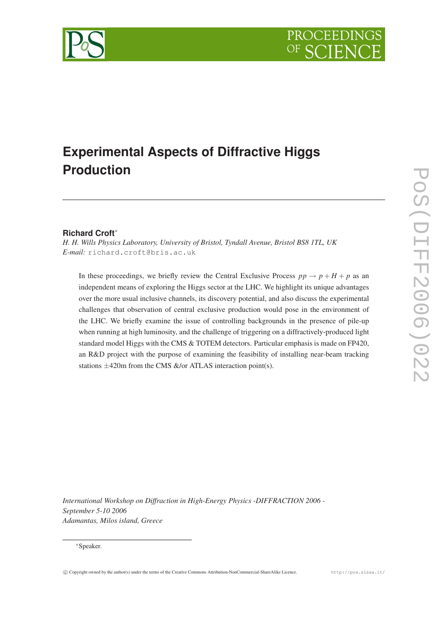



# **Experimental Aspects of Diffractive Higgs Production**

# **Richard Croft**<sup>∗</sup>

*H. H. Wills Physics Laboratory, University of Bristol, Tyndall Avenue, Bristol BS8 1TL, UK E-mail:* [richard.croft@bris.ac.uk](mailto:richard.croft@bris.ac.uk)

In these proceedings, we briefly review the Central Exclusive Process  $pp \rightarrow p + H + p$  as an independent means of exploring the Higgs sector at the LHC. We highlight its unique advantages over the more usual inclusive channels, its discovery potential, and also discuss the experimental challenges that observation of central exclusive production would pose in the environment of the LHC. We briefly examine the issue of controlling backgrounds in the presence of pile-up when running at high luminosity, and the challenge of triggering on a diffractively-produced light standard model Higgs with the CMS & TOTEM detectors. Particular emphasis is made on FP420, an R&D project with the purpose of examining the feasibility of installing near-beam tracking stations  $\pm$ 420m from the CMS &/or ATLAS interaction point(s).

*International Workshop on Diffraction in High-Energy Physics -DIFFRACTION 2006 - September 5-10 2006 Adamantas, Milos island, Greece*

#### <sup>∗</sup>Speaker.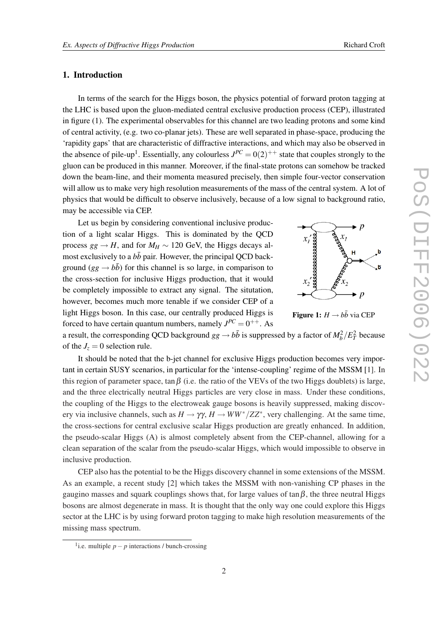# 1. Introduction

In terms of the search for the Higgs boson, the physics potential of forward proton tagging at the LHC is based upon the gluon-mediated central exclusive production process (CEP), illustrated in figure (1). The experimental observables for this channel are two leading protons and some kind of central activity, (e.g. two co-planar jets). These are well separated in phase-space, producing the 'rapidity gaps' that are characteristic of diffractive interactions, and which may also be observed in the absence of pile-up<sup>1</sup>. Essentially, any colourless  $J^{PC} = 0(2)^{++}$  state that couples strongly to the gluon can be produced in this manner. Moreover, if the final-state protons can somehow be tracked down the beam-line, and their momenta measured precisely, then simple four-vector conservation will allow us to make very high resolution measurements of the mass of the central system. A lot of physics that would be difficult to observe inclusively, because of a low signal to background ratio, may be accessible via CEP.

Let us begin by considering conventional inclusive production of a light scalar Higgs. This is dominated by the QCD process  $gg \to H$ , and for  $M_H \sim 120$  GeV, the Higgs decays almost exclusively to a  $b\bar{b}$  pair. However, the principal QCD background ( $gg \rightarrow b\bar{b}$ ) for this channel is so large, in comparison to the cross-section for inclusive Higgs production, that it would be completely impossible to extract any signal. The situtation, however, becomes much more tenable if we consider CEP of a light Higgs boson. In this case, our centrally produced Higgs is forced to have certain quantum numbers, namely  $J^{PC} = 0^{++}$ . As





a result, the corresponding QCD background  $gg \to b\bar{b}$  is suppressed by a factor of  $M_b^2/E_T^2$  because of the  $J_z = 0$  selection rule.

It should be noted that the b-jet channel for exclusive Higgs production becomes very important in certain SUSY scenarios, in particular for the 'intense-coupling' regime of the MSSM [[1](#page-6-0)]. In this region of parameter space, tan $\beta$  (i.e. the ratio of the VEVs of the two Higgs doublets) is large, and the three electrically neutral Higgs particles are very close in mass. Under these conditions, the coupling of the Higgs to the electroweak gauge bosons is heavily suppressed, making discovery via inclusive channels, such as  $H \to \gamma \gamma$ ,  $H \to WW^*/ZZ^*$ , very challenging. At the same time, the cross-sections for central exclusive scalar Higgs production are greatly enhanced. In addition, the pseudo-scalar Higgs (A) is almost completely absent from the CEP-channel, allowing for a clean separation of the scalar from the pseudo-scalar Higgs, which would impossible to observe in inclusive production.

CEP also has the potential to be the Higgs discovery channel in some extensions of the MSSM. As an example, a recent study [\[2\]](#page-6-0) which takes the MSSM with non-vanishing CP phases in the gaugino masses and squark couplings shows that, for large values of tan $\beta$ , the three neutral Higgs bosons are almost degenerate in mass. It is thought that the only way one could explore this Higgs sector at the LHC is by using forward proton tagging to make high resolution measurements of the missing mass spectrum.

<sup>1</sup> i.e. multiple *p*− *p* interactions / bunch-crossing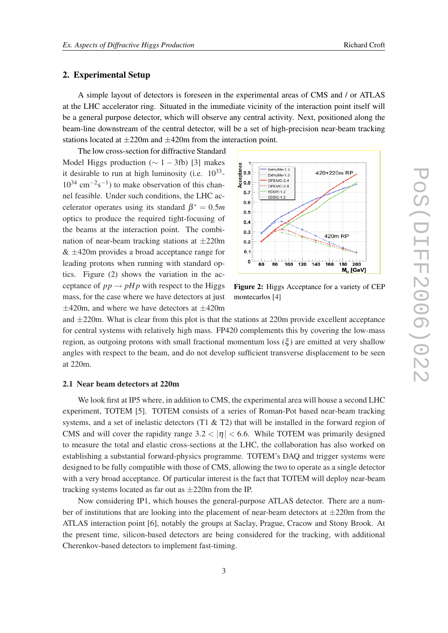# 2. Experimental Setup

A simple layout of detectors is foreseen in the experimental areas of CMS and / or ATLAS at the LHC accelerator ring. Situated in the immediate vicinity of the interaction point itself will be a general purpose detector, which will observe any central activity. Next, positioned along the beam-line downstream of the central detector, will be a set of high-precision near-beam tracking stations located at  $\pm 220$ m and  $\pm 420$ m from the interaction point.

The low cross-section for diffractive Standard Model Higgs production ( $\sim 1 - 3$  $\sim 1 - 3$ fb) [3] makes it desirable to run at high luminosity (i.e.  $10^{33}$ - $10^{34}$  cm<sup>-2</sup>s<sup>-1</sup>) to make observation of this channel feasible. Under such conditions, the LHC accelerator operates using its standard  $\beta^* = 0.5m$ optics to produce the required tight-focusing of the beams at the interaction point. The combination of near-beam tracking stations at  $\pm 220$ m  $& \pm 420$ m provides a broad acceptance range for leading protons when running with standard optics. Figure (2) shows the variation in the acceptance of  $pp \rightarrow pHp$  with respect to the Higgs mass, for the case where we have detectors at just  $\pm$ 420m, and where we have detectors at  $\pm$ 420m



Figure 2: Higgs Acceptance for a variety of CEP montecarlos [\[4](#page-6-0)]

and  $\pm 220$ m. What is clear from this plot is that the stations at 220m provide excellent acceptance for central systems with relatively high mass. FP420 complements this by covering the low-mass region, as outgoing protons with small fractional momentum loss  $(\xi)$  are emitted at very shallow angles with respect to the beam, and do not develop sufficient transverse displacement to be seen at 220m.

# 2.1 Near beam detectors at 220m

We look first at IP5 where, in addition to CMS, the experimental area will house a second LHC experiment, TOTEM [\[5\]](#page-6-0). TOTEM consists of a series of Roman-Pot based near-beam tracking systems, and a set of inelastic detectors (T1  $\&$  T2) that will be installed in the forward region of CMS and will cover the rapidity range  $3.2 < |\eta| < 6.6$ . While TOTEM was primarily designed to measure the total and elastic cross-sections at the LHC, the collaboration has also worked on establishing a substantial forward-physics programme. TOTEM's DAQ and trigger systems were designed to be fully compatible with those of CMS, allowing the two to operate as a single detector with a very broad acceptance. Of particular interest is the fact that TOTEM will deploy near-beam tracking systems located as far out as  $\pm 220$ m from the IP.

Now considering IP1, which houses the general-purpose ATLAS detector. There are a number of institutions that are looking into the placement of near-beam detectors at  $\pm 220$ m from the ATLAS interaction point [[6](#page-6-0)], notably the groups at Saclay, Prague, Cracow and Stony Brook. At the present time, silicon-based detectors are being considered for the tracking, with additional Cherenkov-based detectors to implement fast-timing.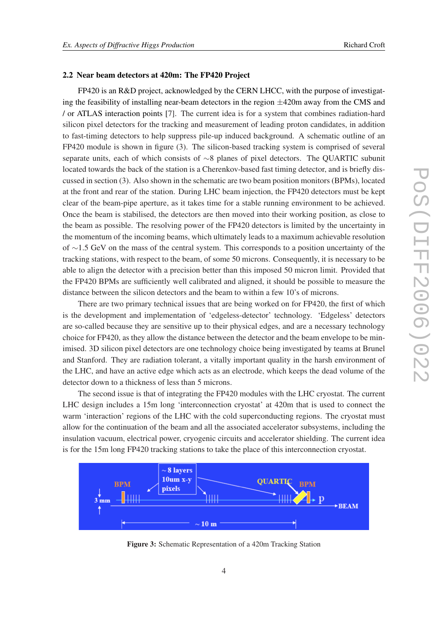#### 2.2 Near beam detectors at 420m: The FP420 Project

FP420 is an R&D project, acknowledged by the CERN LHCC, with the purpose of investigating the feasibility of installing near-beam detectors in the region  $\pm$ 420m away from the CMS and / or ATLAS interaction points [\[7\]](#page-6-0). The current idea is for a system that combines radiation-hard silicon pixel detectors for the tracking and measurement of leading proton candidates, in addition to fast-timing detectors to help suppress pile-up induced background. A schematic outline of an FP420 module is shown in figure (3). The silicon-based tracking system is comprised of several separate units, each of which consists of ∼8 planes of pixel detectors. The QUARTIC subunit located towards the back of the station is a Cherenkov-based fast timing detector, and is briefly discussed in section (3). Also shown in the schematic are two beam position monitors (BPMs), located at the front and rear of the station. During LHC beam injection, the FP420 detectors must be kept clear of the beam-pipe aperture, as it takes time for a stable running environment to be achieved. Once the beam is stabilised, the detectors are then moved into their working position, as close to the beam as possible. The resolving power of the FP420 detectors is limited by the uncertainty in the momentum of the incoming beams, which ultimately leads to a maximum achievable resolution of ∼1.5 GeV on the mass of the central system. This corresponds to a position uncertainty of the tracking stations, with respect to the beam, of some 50 microns. Consequently, it is necessary to be able to align the detector with a precision better than this imposed 50 micron limit. Provided that the FP420 BPMs are sufficiently well calibrated and aligned, it should be possible to measure the distance between the silicon detectors and the beam to within a few 10's of microns.

There are two primary technical issues that are being worked on for FP420, the first of which is the development and implementation of 'edgeless-detector' technology. 'Edgeless' detectors are so-called because they are sensitive up to their physical edges, and are a necessary technology choice for FP420, as they allow the distance between the detector and the beam envelope to be minimised. 3D silicon pixel detectors are one technology choice being investigated by teams at Brunel and Stanford. They are radiation tolerant, a vitally important quality in the harsh environment of the LHC, and have an active edge which acts as an electrode, which keeps the dead volume of the detector down to a thickness of less than 5 microns.

The second issue is that of integrating the FP420 modules with the LHC cryostat. The current LHC design includes a 15m long 'interconnection cryostat' at 420m that is used to connect the warm 'interaction' regions of the LHC with the cold superconducting regions. The cryostat must allow for the continuation of the beam and all the associated accelerator subsystems, including the insulation vacuum, electrical power, cryogenic circuits and accelerator shielding. The current idea is for the 15m long FP420 tracking stations to take the place of this interconnection cryostat.



Figure 3: Schematic Representation of a 420m Tracking Station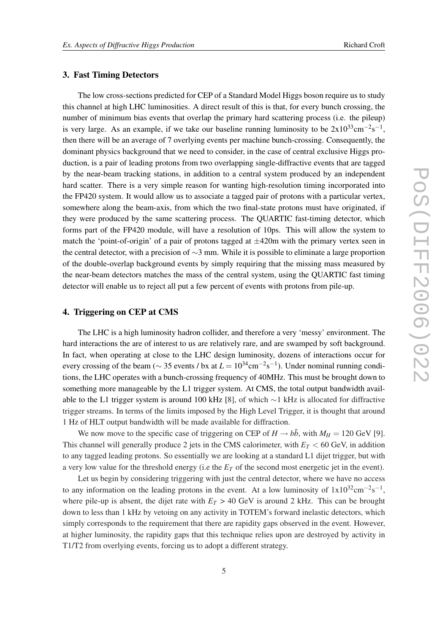# 3. Fast Timing Detectors

The low cross-sections predicted for CEP of a Standard Model Higgs boson require us to study this channel at high LHC luminosities. A direct result of this is that, for every bunch crossing, the number of minimum bias events that overlap the primary hard scattering process (i.e. the pileup) is very large. As an example, if we take our baseline running luminosity to be  $2x10^{33}cm^{-2}s^{-1}$ , then there will be an average of 7 overlying events per machine bunch-crossing. Consequently, the dominant physics background that we need to consider, in the case of central exclusive Higgs production, is a pair of leading protons from two overlapping single-diffractive events that are tagged by the near-beam tracking stations, in addition to a central system produced by an independent hard scatter. There is a very simple reason for wanting high-resolution timing incorporated into the FP420 system. It would allow us to associate a tagged pair of protons with a particular vertex, somewhere along the beam-axis, from which the two final-state protons must have originated, if they were produced by the same scattering process. The QUARTIC fast-timing detector, which forms part of the FP420 module, will have a resolution of 10ps. This will allow the system to match the 'point-of-origin' of a pair of protons tagged at  $\pm$ 420m with the primary vertex seen in the central detector, with a precision of ∼3 mm. While it is possible to eliminate a large proportion of the double-overlap background events by simply requiring that the missing mass measured by the near-beam detectors matches the mass of the central system, using the QUARTIC fast timing detector will enable us to reject all put a few percent of events with protons from pile-up.

# 4. Triggering on CEP at CMS

The LHC is a high luminosity hadron collider, and therefore a very 'messy' environment. The hard interactions the are of interest to us are relatively rare, and are swamped by soft background. In fact, when operating at close to the LHC design luminosity, dozens of interactions occur for every crossing of the beam ( $\sim$  35 events / bx at  $L = 10^{34}$ cm<sup>-2</sup>s<sup>-1</sup>). Under nominal running conditions, the LHC operates with a bunch-crossing frequency of 40MHz. This must be brought down to something more manageable by the L1 trigger system. At CMS, the total output bandwidth available to the L1 trigger system is around 100 kHz [[8\]](#page-6-0), of which ∼1 kHz is allocated for diffractive trigger streams. In terms of the limits imposed by the High Level Trigger, it is thought that around 1 Hz of HLT output bandwidth will be made available for diffraction.

We now move to the specific case of triggering on CEP of  $H \rightarrow b\bar{b}$ , with  $M_H = 120$  GeV [\[9\]](#page-6-0). This channel will generally produce 2 jets in the CMS calorimeter, with  $E_T < 60$  GeV, in addition to any tagged leading protons. So essentially we are looking at a standard L1 dijet trigger, but with a very low value for the threshold energy (i.e the *E<sup>T</sup>* of the second most energetic jet in the event).

Let us begin by considering triggering with just the central detector, where we have no access to any information on the leading protons in the event. At a low luminosity of  $1x10^{32}cm^{-2}s^{-1}$ , where pile-up is absent, the dijet rate with  $E_T > 40$  GeV is around 2 kHz. This can be brought down to less than 1 kHz by vetoing on any activity in TOTEM's forward inelastic detectors, which simply corresponds to the requirement that there are rapidity gaps observed in the event. However, at higher luminosity, the rapidity gaps that this technique relies upon are destroyed by activity in T1/T2 from overlying events, forcing us to adopt a different strategy.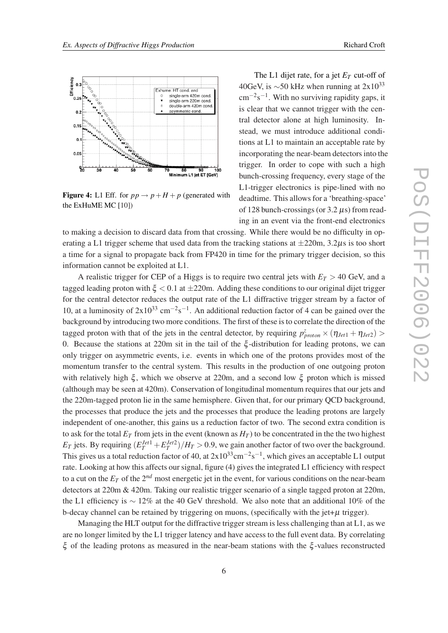

**Figure 4:** L1 Eff. for  $pp \rightarrow p + H + p$  (generated with the ExHuME MC [[10\]](#page-6-0))

The L1 dijet rate, for a jet  $E_T$  cut-off of 40GeV, is  $\sim$ 50 kHz when running at 2x10<sup>33</sup>  $\text{cm}^{-2}\text{s}^{-1}$ . With no surviving rapidity gaps, it is clear that we cannot trigger with the central detector alone at high luminosity. Instead, we must introduce additional conditions at L1 to maintain an acceptable rate by incorporating the near-beam detectors into the trigger. In order to cope with such a high bunch-crossing frequency, every stage of the L1-trigger electronics is pipe-lined with no deadtime. This allows for a 'breathing-space' of 128 bunch-crossings (or  $3.2 \mu s$ ) from reading in an event via the front-end electronics

to making a decision to discard data from that crossing. While there would be no difficulty in operating a L1 trigger scheme that used data from the tracking stations at  $\pm 220$ m, 3.2 $\mu$ s is too short a time for a signal to propagate back from FP420 in time for the primary trigger decision, so this information cannot be exploited at L1.

A realistic trigger for CEP of a Higgs is to require two central jets with  $E_T > 40$  GeV, and a tagged leading proton with  $\xi$  < 0.1 at  $\pm 220$ m. Adding these conditions to our original dijet trigger for the central detector reduces the output rate of the L1 diffractive trigger stream by a factor of 10, at a luminosity of  $2x10^{33}$  cm<sup>-2</sup>s<sup>-1</sup>. An additional reduction factor of 4 can be gained over the background by introducing two more conditions. The first of these is to correlate the direction of the tagged proton with that of the jets in the central detector, by requiring  $p_{proton}^z \times (\eta_{Jet1} + \eta_{Jet2})$ 0. Because the stations at 220m sit in the tail of the  $\xi$ -distribution for leading protons, we can only trigger on asymmetric events, i.e. events in which one of the protons provides most of the momentum transfer to the central system. This results in the production of one outgoing proton with relatively high  $\xi$ , which we observe at 220m, and a second low  $\xi$  proton which is missed (although may be seen at 420m). Conservation of longitudinal momentum requires that our jets and the 220m-tagged proton lie in the same hemisphere. Given that, for our primary QCD background, the processes that produce the jets and the processes that produce the leading protons are largely independent of one-another, this gains us a reduction factor of two. The second extra condition is to ask for the total  $E_T$  from jets in the event (known as  $H_T$ ) to be concentrated in the two highest  $E_T$  jets. By requiring  $(E_T^{Jet1} + E_T^{Jet2})/H_T > 0.9$ , we gain another factor of two over the background. This gives us a total reduction factor of 40, at  $2x10^{33}$ cm<sup>-2</sup>s<sup>-1</sup>, which gives an acceptable L1 output rate. Looking at how this affects our signal, figure (4) gives the integrated L1 efficiency with respect to a cut on the  $E_T$  of the  $2^{nd}$  most energetic jet in the event, for various conditions on the near-beam detectors at 220m & 420m. Taking our realistic trigger scenario of a single tagged proton at 220m, the L1 efficiency is ∼ 12% at the 40 GeV threshold. We also note that an additional 10% of the b-decay channel can be retained by triggering on muons, (specifically with the jet+ $\mu$  trigger).

Managing the HLT output for the diffractive trigger stream is less challenging than at L1, as we are no longer limited by the L1 trigger latency and have access to the full event data. By correlating ξ of the leading protons as measured in the near-beam stations with the ξ -values reconstructed